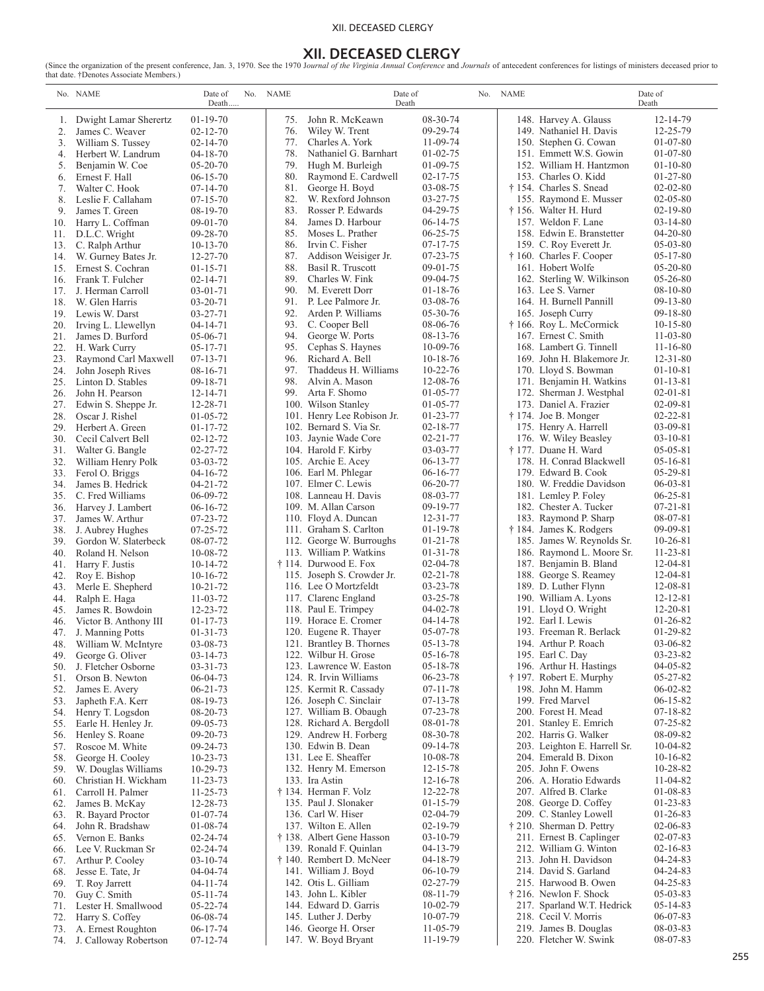### XII. DECEASED CLERGY

**XII. DECEASED CLERGY**<br>that date. †Denotes Associate Members.)<br>that date. †Denotes Associate Members.)

|            | No. NAME                                 | Date of<br>Death                 | No. NAME   | Date of<br>Death                                      |                                  | No. | <b>NAME</b> |                                                       | Date of<br>Death                 |
|------------|------------------------------------------|----------------------------------|------------|-------------------------------------------------------|----------------------------------|-----|-------------|-------------------------------------------------------|----------------------------------|
| 1.         | Dwight Lamar Sherertz                    | $01-19-70$                       | 75.        | John R. McKeawn                                       | 08-30-74                         |     |             | 148. Harvey A. Glauss                                 | 12-14-79                         |
| 2.         | James C. Weaver                          | $02 - 12 - 70$                   | 76.        | Wiley W. Trent                                        | 09-29-74                         |     |             | 149. Nathaniel H. Davis                               | 12-25-79                         |
| 3.         | William S. Tussey                        | $02 - 14 - 70$                   | 77.        | Charles A. York                                       | $11-09-74$                       |     |             | 150. Stephen G. Cowan                                 | $01-07-80$                       |
| 4.         | Herbert W. Landrum                       | $04 - 18 - 70$                   | 78.        | Nathaniel G. Barnhart                                 | $01 - 02 - 75$                   |     |             | 151. Emmett W.S. Gowin                                | $01-07-80$                       |
| 5.<br>6.   | Benjamin W. Coe<br>Ernest F. Hall        | $05-20-70$<br>$06 - 15 - 70$     | 79.<br>80. | Hugh M. Burleigh<br>Raymond E. Cardwell               | $01 - 09 - 75$<br>$02 - 17 - 75$ |     |             | 152. William H. Hantzmon<br>153. Charles O. Kidd      | $01-10-80$<br>$01-27-80$         |
| 7.         | Walter C. Hook                           | $07-14-70$                       | 81.        | George H. Boyd                                        | 03-08-75                         |     |             | † 154. Charles S. Snead                               | $02 - 02 - 80$                   |
| 8.         | Leslie F. Callaham                       | $07-15-70$                       | 82.        | W. Rexford Johnson                                    | 03-27-75                         |     |             | 155. Raymond E. Musser                                | $02 - 05 - 80$                   |
| 9.         | James T. Green                           | 08-19-70                         | 83.        | Rosser P. Edwards                                     | 04-29-75                         |     |             | † 156. Walter H. Hurd                                 | $02 - 19 - 80$                   |
| 10.        | Harry L. Coffman                         | $09-01-70$                       | 84.        | James D. Harbour                                      | $06-14-75$                       |     |             | 157. Weldon F. Lane                                   | $03-14-80$                       |
| 11.        | D.L.C. Wright                            | $09 - 28 - 70$                   | 85.        | Moses L. Prather                                      | $06 - 25 - 75$                   |     |             | 158. Edwin E. Branstetter                             | $04 - 20 - 80$                   |
| 13.        | C. Ralph Arthur                          | $10-13-70$<br>$12 - 27 - 70$     | 86.<br>87. | Irvin C. Fisher<br>Addison Weisiger Jr.               | $07 - 17 - 75$<br>$07 - 23 - 75$ |     |             | 159. C. Roy Everett Jr.<br>† 160. Charles F. Cooper   | $05-03-80$<br>$05 - 17 - 80$     |
| 14.<br>15. | W. Gurney Bates Jr.<br>Ernest S. Cochran | $01 - 15 - 71$                   | 88.        | Basil R. Truscott                                     | $09-01-75$                       |     |             | 161. Hobert Wolfe                                     | $05-20-80$                       |
| 16.        | Frank T. Fulcher                         | $02 - 14 - 71$                   | 89.        | Charles W. Fink                                       | 09-04-75                         |     |             | 162. Sterling W. Wilkinson                            | $05 - 26 - 80$                   |
| 17.        | J. Herman Carroll                        | $03-01-71$                       | 90.        | M. Everett Dorr                                       | $01-18-76$                       |     |             | 163. Lee S. Varner                                    | $08-10-80$                       |
| 18.        | W. Glen Harris                           | $03 - 20 - 71$                   | 91.        | P. Lee Palmore Jr.                                    | 03-08-76                         |     |             | 164. H. Burnell Pannill                               | $09-13-80$                       |
| 19.        | Lewis W. Darst                           | $03 - 27 - 71$                   | 92.        | Arden P. Williams                                     | 05-30-76                         |     |             | 165. Joseph Curry                                     | $09-18-80$                       |
| 20.        | Irving L. Llewellyn                      | $04 - 14 - 71$                   | 93.        | C. Cooper Bell                                        | 08-06-76                         |     |             | † 166. Roy L. McCormick                               | $10 - 15 - 80$                   |
| 21.<br>22. | James D. Burford<br>H. Wark Curry        | 05-06-71<br>$05-17-71$           | 94.<br>95. | George W. Ports<br>Cephas S. Haynes                   | 08-13-76<br>$10-09-76$           |     |             | 167. Ernest C. Smith<br>168. Lambert G. Tinnell       | $11 - 03 - 80$<br>$11 - 16 - 80$ |
| 23.        | Raymond Carl Maxwell                     | $07-13-71$                       | 96.        | Richard A. Bell                                       | $10-18-76$                       |     |             | 169. John H. Blakemore Jr.                            | $12 - 31 - 80$                   |
| 24.        | John Joseph Rives                        | $08-16-71$                       | 97.        | Thaddeus H. Williams                                  | $10 - 22 - 76$                   |     |             | 170. Lloyd S. Bowman                                  | $01 - 10 - 81$                   |
| 25.        | Linton D. Stables                        | $09-18-71$                       | 98.        | Alvin A. Mason                                        | 12-08-76                         |     |             | 171. Benjamin H. Watkins                              | $01 - 13 - 81$                   |
| 26.        | John H. Pearson                          | $12 - 14 - 71$                   | 99.        | Arta F. Shomo                                         | $01 - 05 - 77$                   |     |             | 172. Sherman J. Westphal                              | $02 - 01 - 81$                   |
| 27.        | Edwin S. Sheppe Jr.                      | 12-28-71                         |            | 100. Wilson Stanley                                   | $01-05-77$                       |     |             | 173. Daniel A. Frazier                                | $02 - 09 - 81$                   |
| 28.<br>29. | Oscar J. Rishel<br>Herbert A. Green      | $01 - 05 - 72$<br>$01 - 17 - 72$ |            | 101. Henry Lee Robison Jr.<br>102. Bernard S. Via Sr. | 01-23-77<br>$02 - 18 - 77$       |     |             | † 174. Joe B. Monger                                  | $02 - 22 - 81$<br>03-09-81       |
| 30.        | Cecil Calvert Bell                       | $02 - 12 - 72$                   |            | 103. Jaynie Wade Core                                 | $02 - 21 - 77$                   |     |             | 175. Henry A. Harrell<br>176. W. Wiley Beasley        | $03 - 10 - 81$                   |
| 31.        | Walter G. Bangle                         | $02 - 27 - 72$                   |            | 104. Harold F. Kirby                                  | $03 - 03 - 77$                   |     |             | † 177. Duane H. Ward                                  | $05 - 05 - 81$                   |
| 32.        | William Henry Polk                       | $03-03-72$                       |            | 105. Archie E. Acey                                   | $06 - 13 - 77$                   |     |             | 178. H. Conrad Blackwell                              | $05 - 16 - 81$                   |
| 33.        | Ferol O. Briggs                          | $04-16-72$                       |            | 106. Earl M. Phlegar                                  | $06-16-77$                       |     |             | 179. Edward B. Cook                                   | 05-29-81                         |
| 34.        | James B. Hedrick                         | $04 - 21 - 72$                   |            | 107. Elmer C. Lewis                                   | 06-20-77                         |     |             | 180. W. Freddie Davidson                              | $06 - 03 - 81$                   |
| 35.        | C. Fred Williams                         | 06-09-72                         |            | 108. Lanneau H. Davis                                 | 08-03-77                         |     |             | 181. Lemley P. Foley                                  | $06 - 25 - 81$                   |
| 36.<br>37. | Harvey J. Lambert<br>James W. Arthur     | $06-16-72$<br>07-23-72           |            | 109. M. Allan Carson<br>110. Floyd A. Duncan          | 09-19-77<br>$12 - 31 - 77$       |     |             | 182. Chester A. Tucker<br>183. Raymond P. Sharp       | $07 - 21 - 81$<br>08-07-81       |
| 38.        | J. Aubrey Hughes                         | $07 - 25 - 72$                   |            | 111. Graham S. Carlton                                | $01-19-78$                       |     |             | † 184. James K. Rodgers                               | $09-09-81$                       |
| 39.        | Gordon W. Slaterbeck                     | 08-07-72                         |            | 112. George W. Burroughs                              | $01 - 21 - 78$                   |     |             | 185. James W. Reynolds Sr.                            | $10 - 26 - 81$                   |
| 40.        | Roland H. Nelson                         | $10-08-72$                       |            | 113. William P. Watkins                               | $01 - 31 - 78$                   |     |             | 186. Raymond L. Moore Sr.                             | $11 - 23 - 81$                   |
| 41.        | Harry F. Justis                          | $10-14-72$                       |            | † 114. Durwood E. Fox                                 | $02 - 04 - 78$                   |     |             | 187. Benjamin B. Bland                                | $12 - 04 - 81$                   |
| 42.        | Roy E. Bishop                            | $10-16-72$<br>$10 - 21 - 72$     |            | 115. Joseph S. Crowder Jr.<br>116. Lee O Mortzfeldt   | $02 - 21 - 78$                   |     |             | 188. George S. Reamey                                 | $12 - 04 - 81$                   |
| 43.<br>44. | Merle E. Shepherd<br>Ralph E. Haga       | $11 - 03 - 72$                   |            | 117. Clarenc England                                  | 03-23-78<br>03-25-78             |     |             | 189. D. Luther Flynn<br>190. William A. Lyons         | 12-08-81<br>$12 - 12 - 81$       |
| 45.        | James R. Bowdoin                         | $12 - 23 - 72$                   |            | 118. Paul E. Trimpey                                  | $04 - 02 - 78$                   |     |             | 191. Lloyd O. Wright                                  | $12 - 20 - 81$                   |
| 46.        | Victor B. Anthony III                    | $01 - 17 - 73$                   |            | 119. Horace E. Cromer                                 | $04 - 14 - 78$                   |     |             | 192. Earl I. Lewis                                    | $01-26-82$                       |
| 47.        | J. Manning Potts                         | $01 - 31 - 73$                   |            | 120. Eugene R. Thayer                                 | 05-07-78                         |     |             | 193. Freeman R. Berlack                               | 01-29-82                         |
| 48.        | William W. McIntyre                      | 03-08-73                         |            | 121. Brantley B. Thornes                              | 05-13-78                         |     |             | 194. Arthur P. Roach                                  | 03-06-82                         |
| 49.        | George G. Oliver                         | $03 - 14 - 73$                   |            | 122. Wilbur H. Grose                                  | $05-16-78$                       |     |             | 195. Earl C. Day                                      | $03 - 23 - 82$                   |
| 50.<br>51. | J. Fletcher Osborne<br>Orson B. Newton   | $03 - 31 - 73$<br>06-04-73       |            | 123. Lawrence W. Easton<br>124. R. Irvin Williams     | 05-18-78<br>06-23-78             |     |             | 196. Arthur H. Hastings<br>† 197. Robert E. Murphy    | $04 - 05 - 82$<br>$05 - 27 - 82$ |
| 52.        | James E. Avery                           | $06 - 21 - 73$                   |            | 125. Kermit R. Cassady                                | $07 - 11 - 78$                   |     |             | 198. John M. Hamm                                     | $06 - 02 - 82$                   |
| 53.        | Japheth F.A. Kerr                        | 08-19-73                         |            | 126. Joseph C. Sinclair                               | 07-13-78                         |     |             | 199. Fred Marvel                                      | $06 - 15 - 82$                   |
| 54.        | Henry T. Logsdon                         | 08-20-73                         |            | 127. William B. Obaugh                                | 07-23-78                         |     |             | 200. Forest H. Mead                                   | $07 - 18 - 82$                   |
| 55.        | Earle H. Henley Jr.                      | 09-05-73                         |            | 128. Richard A. Bergdoll                              | 08-01-78                         |     |             | 201. Stanley E. Emrich                                | $07 - 25 - 82$                   |
| 56.        | Henley S. Roane<br>Roscoe M. White       | 09-20-73                         |            | 129. Andrew H. Forberg                                | 08-30-78<br>09-14-78             |     |             | 202. Harris G. Walker                                 | 08-09-82<br>$10-04-82$           |
| 57.<br>58. | George H. Cooley                         | 09-24-73<br>$10 - 23 - 73$       |            | 130. Edwin B. Dean<br>131. Lee E. Sheaffer            | 10-08-78                         |     |             | 203. Leighton E. Harrell Sr.<br>204. Emerald B. Dixon | $10-16-82$                       |
| 59.        | W. Douglas Williams                      | $10-29-73$                       |            | 132. Henry M. Emerson                                 | $12 - 15 - 78$                   |     |             | 205. John F. Owens                                    | $10 - 28 - 82$                   |
| 60.        | Christian H. Wickham                     | $11 - 23 - 73$                   |            | 133. Ira Astin                                        | $12 - 16 - 78$                   |     |             | 206. A. Horatio Edwards                               | $11-04-82$                       |
| 61.        | Carroll H. Palmer                        | $11 - 25 - 73$                   |            | † 134. Herman F. Volz                                 | 12-22-78                         |     |             | 207. Alfred B. Clarke                                 | $01 - 08 - 83$                   |
| 62.        | James B. McKay                           | 12-28-73                         |            | 135. Paul J. Slonaker                                 | $01-15-79$                       |     |             | 208. George D. Coffey                                 | $01 - 23 - 83$                   |
| 63.        | R. Bayard Proctor                        | $01-07-74$                       |            | 136. Carl W. Hiser                                    | 02-04-79                         |     |             | 209. C. Stanley Lowell                                | $01 - 26 - 83$                   |
| 64.<br>65. | John R. Bradshaw<br>Vernon E. Banks      | $01 - 08 - 74$<br>02-24-74       |            | 137. Wilton E. Allen<br>† 138. Albert Gene Hasson     | $02 - 19 - 79$<br>$03-10-79$     |     |             | † 210. Sherman D. Pettry<br>211. Ernest B. Caplinger  | $02 - 06 - 83$<br>$02 - 07 - 83$ |
| 66.        | Lee V. Ruckman Sr                        | 02-24-74                         |            | 139. Ronald F. Quinlan                                | 04-13-79                         |     |             | 212. William G. Winton                                | $02 - 16 - 83$                   |
| 67.        | Arthur P. Cooley                         | $03 - 10 - 74$                   |            | † 140. Rembert D. McNeer                              | 04-18-79                         |     |             | 213. John H. Davidson                                 | 04-24-83                         |
| 68.        | Jesse E. Tate, Jr.                       | 04-04-74                         |            | 141. William J. Boyd                                  | $06-10-79$                       |     |             | 214. David S. Garland                                 | 04-24-83                         |
| 69.        | T. Roy Jarrett                           | $04 - 11 - 74$                   |            | 142. Otis L. Gilliam                                  | 02-27-79                         |     |             | 215. Harwood B. Owen                                  | $04 - 25 - 83$                   |
| 70.        | Guy C. Smith                             | $05 - 11 - 74$                   |            | 143. John L. Kibler                                   | 08-11-79                         |     |             | † 216. Newlon F. Shock                                | $05-03-83$                       |
| 71.<br>72. | Lester H. Smallwood<br>Harry S. Coffey   | $05 - 22 - 74$<br>06-08-74       |            | 144. Edward D. Garris<br>145. Luther J. Derby         | $10-02-79$<br>10-07-79           |     |             | 217. Sparland W.T. Hedrick<br>218. Cecil V. Morris    | $05-14-83$<br>06-07-83           |
| 73.        | A. Ernest Roughton                       | $06-17-74$                       |            | 146. George H. Orser                                  | $11-05-79$                       |     |             | 219. James B. Douglas                                 | 08-03-83                         |
| 74.        | J. Calloway Robertson                    | $07 - 12 - 74$                   |            | 147. W. Boyd Bryant                                   | 11-19-79                         |     |             | 220. Fletcher W. Swink                                | 08-07-83                         |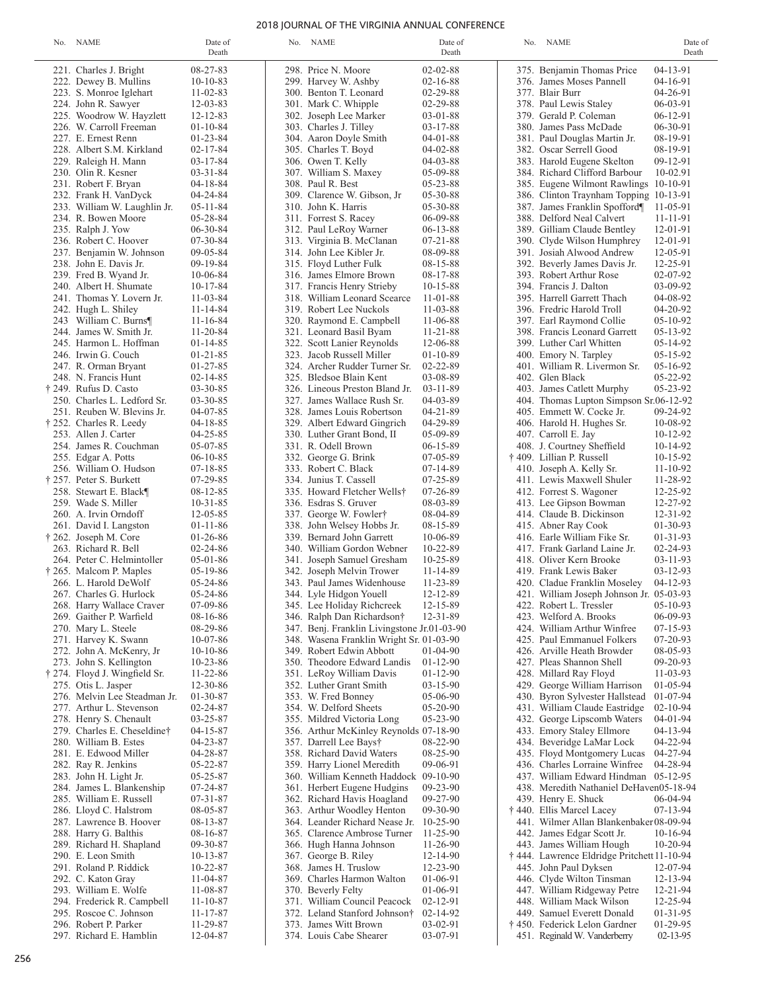### 2018 JOURNAL OF THE VIRGINIA ANNUAL CONFERENCE

| No. NAME                                            | Date of<br>Death                 | No. NAME                                    | Date of<br>Death                 | No. NAME                                                                        | Date of<br>Death       |
|-----------------------------------------------------|----------------------------------|---------------------------------------------|----------------------------------|---------------------------------------------------------------------------------|------------------------|
|                                                     |                                  |                                             |                                  |                                                                                 |                        |
| 221. Charles J. Bright                              | 08-27-83                         | 298. Price N. Moore                         | $02 - 02 - 88$                   | 375. Benjamin Thomas Price                                                      | 04-13-91               |
| 222. Dewey B. Mullins                               | $10-10-83$                       | 299. Harvey W. Ashby                        | $02 - 16 - 88$                   | 376. James Moses Pannell                                                        | $04-16-91$             |
| 223. S. Monroe Iglehart                             | $11 - 02 - 83$                   | 300. Benton T. Leonard                      | $02 - 29 - 88$<br>$02 - 29 - 88$ | 377. Blair Burr                                                                 | $04 - 26 - 91$         |
| 224. John R. Sawyer                                 | $12 - 03 - 83$                   | 301. Mark C. Whipple                        |                                  | 378. Paul Lewis Staley                                                          | $06-03-91$             |
| 225. Woodrow W. Hayzlett                            | $12 - 12 - 83$                   | 302. Joseph Lee Marker                      | $03 - 01 - 88$                   | 379. Gerald P. Coleman                                                          | $06-12-91$             |
| 226. W. Carroll Freeman<br>227. E. Ernest Renn      | $01 - 10 - 84$                   | 303. Charles J. Tilley                      | $03 - 17 - 88$                   | 380. James Pass McDade                                                          | $06-30-91$             |
|                                                     | $01 - 23 - 84$                   | 304. Aaron Doyle Smith                      | $04 - 01 - 88$                   | 381. Paul Douglas Martin Jr.                                                    | 08-19-91               |
| 228. Albert S.M. Kirkland                           | $02 - 17 - 84$                   | 305. Charles T. Boyd                        | $04 - 02 - 88$                   | 382. Oscar Serrell Good                                                         | 08-19-91               |
| 229. Raleigh H. Mann                                | $03 - 17 - 84$<br>$03 - 31 - 84$ | 306. Owen T. Kelly                          | $04 - 03 - 88$<br>05-09-88       | 383. Harold Eugene Skelton                                                      | $09-12-91$<br>10-02.91 |
| 230. Olin R. Kesner                                 | $04 - 18 - 84$                   | 307. William S. Maxey<br>308. Paul R. Best  | 05-23-88                         | 384. Richard Clifford Barbour                                                   |                        |
| 231. Robert F. Bryan                                | 04-24-84                         | 309. Clarence W. Gibson, Jr.                | 05-30-88                         | 385. Eugene Wilmont Rawlings 10-10-91<br>386. Clinton Traynham Topping 10-13-91 |                        |
| 232. Frank H. VanDyck                               | $05 - 11 - 84$                   | 310. John K. Harris                         | 05-30-88                         |                                                                                 |                        |
| 233. William W. Laughlin Jr.<br>234. R. Bowen Moore | 05-28-84                         | 311. Forrest S. Racey                       | 06-09-88                         | 387. James Franklin Spofford¶<br>388. Delford Neal Calvert                      | 11-05-91<br>11-11-91   |
| 235. Ralph J. Yow                                   | 06-30-84                         | 312. Paul LeRoy Warner                      | $06-13-88$                       | 389. Gilliam Claude Bentley                                                     | $12 - 01 - 91$         |
| 236. Robert C. Hoover                               | 07-30-84                         | 313. Virginia B. McClanan                   | $07 - 21 - 88$                   | 390. Clyde Wilson Humphrey                                                      | $12 - 01 - 91$         |
| 237. Benjamin W. Johnson                            | $09 - 05 - 84$                   | 314. John Lee Kibler Jr.                    | 08-09-88                         | 391. Josiah Alwood Andrew                                                       | 12-05-91               |
| 238. John E. Davis Jr.                              | 09-19-84                         | 315. Floyd Luther Fulk                      | 08-15-88                         | 392. Beverly James Davis Jr.                                                    | 12-25-91               |
| 239. Fred B. Wyand Jr.                              | $10-06-84$                       | 316. James Elmore Brown                     | 08-17-88                         | 393. Robert Arthur Rose                                                         | $02 - 07 - 92$         |
| 240. Albert H. Shumate                              | $10 - 17 - 84$                   | 317. Francis Henry Strieby                  | $10 - 15 - 88$                   | 394. Francis J. Dalton                                                          | 03-09-92               |
| 241. Thomas Y. Lovern Jr.                           | $11 - 03 - 84$                   | 318. William Leonard Scearce                | $11 - 01 - 88$                   | 395. Harrell Garrett Thach                                                      | 04-08-92               |
| 242. Hugh L. Shiley                                 | $11 - 14 - 84$                   | 319. Robert Lee Nuckols                     | $11 - 03 - 88$                   | 396. Fredric Harold Troll                                                       | $04 - 20 - 92$         |
| 243 William C. Burns¶                               | $11 - 16 - 84$                   | 320. Raymond E. Campbell                    | 11-06-88                         | 397. Earl Raymond Collie                                                        | $05-10-92$             |
| 244. James W. Smith Jr.                             | $11 - 20 - 84$                   | 321. Leonard Basil Byam                     | $11 - 21 - 88$                   | 398. Francis Leonard Garrett                                                    | $05-13-92$             |
| 245. Harmon L. Hoffman                              | $01 - 14 - 85$                   | 322. Scott Lanier Reynolds                  | 12-06-88                         | 399. Luther Carl Whitten                                                        | $05-14-92$             |
| 246. Irwin G. Couch                                 | $01 - 21 - 85$                   | 323. Jacob Russell Miller                   | $01 - 10 - 89$                   |                                                                                 | 05-15-92               |
|                                                     | $01 - 27 - 85$                   | 324. Archer Rudder Turner Sr.               | $02 - 22 - 89$                   | 400. Emory N. Tarpley                                                           | $05-16-92$             |
| 247. R. Orman Bryant                                | $02 - 14 - 85$                   | 325. Bledsoe Blain Kent                     | 03-08-89                         | 401. William R. Livermon Sr.<br>402. Glen Black                                 | $05 - 22 - 92$         |
| 248. N. Francis Hunt                                | $03 - 30 - 85$                   |                                             |                                  |                                                                                 |                        |
| † 249. Rufus D. Casto                               |                                  | 326. Lineous Preston Bland Jr.              | $03 - 11 - 89$                   | 403. James Catlett Murphy                                                       | 05-23-92               |
| 250. Charles L. Ledford Sr.                         | $03 - 30 - 85$                   | 327. James Wallace Rush Sr.                 | $04 - 03 - 89$                   | 404. Thomas Lupton Simpson Sr.06-12-92                                          |                        |
| 251. Reuben W. Blevins Jr.                          | $04 - 07 - 85$                   | 328. James Louis Robertson                  | $04 - 21 - 89$                   | 405. Emmett W. Cocke Jr.                                                        | 09-24-92               |
| † 252. Charles R. Leedy                             | $04 - 18 - 85$                   | 329. Albert Edward Gingrich                 | 04-29-89                         | 406. Harold H. Hughes Sr.                                                       | 10-08-92               |
| 253. Allen J. Carter                                | $04 - 25 - 85$                   | 330. Luther Grant Bond, II                  | 05-09-89                         | 407. Carroll E. Jay                                                             | $10-12-92$             |
| 254. James R. Couchman                              | 05-07-85                         | 331. R. Odell Brown                         | $06-15-89$                       | 408. J. Courtney Sheffield                                                      | $10-14-92$             |
| 255. Edgar A. Potts                                 | $06-10-85$                       | 332. George G. Brink                        | $07-05-89$                       | † 409. Lillian P. Russell                                                       | $10-15-92$             |
| 256. William O. Hudson                              | $07 - 18 - 85$                   | 333. Robert C. Black                        | 07-14-89                         | 410. Joseph A. Kelly Sr.                                                        | $11 - 10 - 92$         |
| † 257. Peter S. Burkett                             | 07-29-85                         | 334. Junius T. Cassell                      | 07-25-89                         | 411. Lewis Maxwell Shuler                                                       | 11-28-92               |
| 258. Stewart E. Black¶                              | $08-12-85$                       | 335. Howard Fletcher Wells†                 | 07-26-89                         | 412. Forrest S. Wagoner                                                         | 12-25-92               |
| 259. Wade S. Miller                                 | $10 - 31 - 85$                   | 336. Esdras S. Gruver                       | 08-03-89                         | 413. Lee Gipson Bowman                                                          | 12-27-92               |
| 260. A. Irvin Orndoff                               | $12 - 05 - 85$                   | 337. George W. Fowler†                      | 08-04-89                         | 414. Claude B. Dickinson                                                        | $12 - 31 - 92$         |
| 261. David I. Langston                              | $01 - 11 - 86$                   | 338. John Welsey Hobbs Jr.                  | 08-15-89                         | 415. Abner Ray Cook                                                             | $01-30-93$             |
| † 262. Joseph M. Core                               | $01-26-86$                       | 339. Bernard John Garrett                   | 10-06-89                         | 416. Earle William Fike Sr.                                                     | $01-31-93$             |
| 263. Richard R. Bell                                | $02 - 24 - 86$                   | 340. William Gordon Webner                  | $10 - 22 - 89$                   | 417. Frank Garland Laine Jr.                                                    | $02 - 24 - 93$         |
| 264. Peter C. Helmintoller                          | $05-01-86$                       | 341. Joseph Samuel Gresham                  | 10-25-89                         | 418. Oliver Kern Brooke                                                         | $03 - 11 - 93$         |
| † 265. Malcom P. Maples                             | $05-19-86$                       | 342. Joseph Melvin Trower                   | 11-14-89                         | 419. Frank Lewis Baker                                                          | $03 - 12 - 93$         |
| 266. L. Harold DeWolf                               | 05-24-86                         | 343. Paul James Widenhouse                  | 11-23-89                         | 420. Cladue Franklin Moseley                                                    | $04 - 12 - 93$         |
| 267. Charles G. Hurlock                             | 05-24-86                         | 344. Lyle Hidgon Youell                     | 12-12-89                         | 421. William Joseph Johnson Jr. 05-03-93                                        |                        |
| 268. Harry Wallace Craver                           | 07-09-86                         | 345. Lee Holiday Richcreek                  | 12-15-89                         | 422. Robert L. Tressler                                                         | $05-10-93$             |
| 269. Gaither P. Warfield                            | 08-16-86                         | 346. Ralph Dan Richardson†                  | 12-31-89                         | 423. Welford A. Brooks                                                          | 06-09-93               |
| 270. Mary L. Steele                                 | 08-29-86                         | 347. Benj. Franklin Livingstone Jr.01-03-90 |                                  | 424. William Arthur Winfree                                                     | 07-15-93               |
| 271. Harvey K. Swann                                | $10-07-86$                       | 348. Wasena Franklin Wright Sr. 01-03-90    |                                  | 425. Paul Emmanuel Folkers                                                      | 07-20-93               |
| 272. John A. McKenry, Jr.                           | $10-10-86$                       | 349. Robert Edwin Abbott                    | $01-04-90$                       | 426. Arville Heath Browder                                                      | 08-05-93               |
| 273. John S. Kellington                             | $10 - 23 - 86$                   | 350. Theodore Edward Landis                 | $01-12-90$                       | 427. Pleas Shannon Shell                                                        | 09-20-93               |
| † 274. Floyd J. Wingfield Sr.                       | $11 - 22 - 86$                   | 351. LeRoy William Davis                    | $01-12-90$                       | 428. Millard Ray Floyd                                                          | $11-03-93$             |
| 275. Otis L. Jasper                                 | 12-30-86                         | 352. Luther Grant Smith                     | $03 - 15 - 90$                   | 429. George William Harrison                                                    | $01-05-94$             |
| 276. Melvin Lee Steadman Jr.                        | 01-30-87                         | 353. W. Fred Bonney                         | 05-06-90                         | 430. Byron Sylvester Hallstead                                                  | $01-07-94$             |
| 277. Arthur L. Stevenson                            | 02-24-87                         | 354. W. Delford Sheets                      | $05-20-90$                       | 431. William Claude Eastridge                                                   | $02 - 10 - 94$         |
| 278. Henry S. Chenault                              | 03-25-87                         | 355. Mildred Victoria Long                  | $05 - 23 - 90$                   | 432. George Lipscomb Waters                                                     | $04 - 01 - 94$         |
| 279. Charles E. Cheseldine†                         | $04 - 15 - 87$                   | 356. Arthur McKinley Reynolds 07-18-90      |                                  | 433. Emory Staley Ellmore                                                       | 04-13-94               |
| 280. William B. Estes                               | $04 - 23 - 87$                   | 357. Darrell Lee Bays†                      | 08-22-90                         | 434. Beveridge LaMar Lock                                                       | 04-22-94               |
| 281. E. Edwood Miller                               | 04-28-87                         | 358. Richard David Waters                   | 08-25-90                         | 435. Floyd Montgomery Lucas                                                     | 04-27-94               |
| 282. Ray R. Jenkins                                 | 05-22-87                         | 359. Harry Lionel Meredith                  | 09-06-91                         | 436. Charles Lorraine Winfree                                                   | 04-28-94               |
| 283. John H. Light Jr.                              | 05-25-87                         | 360. William Kenneth Haddock                | $09-10-90$                       | 437. William Edward Hindman 05-12-95                                            |                        |
| 284. James L. Blankenship                           | 07-24-87                         | 361. Herbert Eugene Hudgins                 | 09-23-90                         | 438. Meredith Nathaniel DeHaven05-18-94                                         |                        |
| 285. William E. Russell                             | $07 - 31 - 87$                   | 362. Richard Havis Hoagland                 | 09-27-90                         | 439. Henry E. Shuck                                                             | 06-04-94               |
| 286. Lloyd C. Halstrom                              | 08-05-87                         | 363. Arthur Woodley Henton                  | 09-30-90                         | † 440. Ellis Marcel Lacey                                                       | 07-13-94               |
| 287. Lawrence B. Hoover                             | 08-13-87                         | 364. Leander Richard Nease Jr.              | $10 - 25 - 90$                   | 441. Wilmer Allan Blankenbaker 08-09-94                                         |                        |
| 288. Harry G. Balthis                               | 08-16-87                         | 365. Clarence Ambrose Turner                | $11 - 25 - 90$                   | 442. James Edgar Scott Jr.                                                      | $10-16-94$             |
| 289. Richard H. Shapland                            | 09-30-87                         | 366. Hugh Hanna Johnson                     | $11 - 26 - 90$                   | 443. James William Hough                                                        | $10 - 20 - 94$         |
| 290. E. Leon Smith                                  | $10-13-87$                       | 367. George B. Riley                        | $12 - 14 - 90$                   | † 444. Lawrence Eldridge Pritchett 11-10-94                                     |                        |
| 291. Roland P. Riddick                              | $10 - 22 - 87$                   | 368. James H. Truslow                       | 12-23-90                         | 445. John Paul Dyksen                                                           | 12-07-94               |
| 292. C. Katon Gray                                  | 11-04-87                         | 369. Charles Harmon Walton                  | $01-06-91$                       | 446. Clyde Wilton Tinsman                                                       | 12-13-94               |
| 293. William E. Wolfe                               | 11-08-87                         | 370. Beverly Felty                          | $01-06-91$                       | 447. William Ridgeway Petre                                                     | $12 - 21 - 94$         |
| 294. Frederick R. Campbell                          | $11 - 10 - 87$                   | 371. William Council Peacock                | $02 - 12 - 91$                   | 448. William Mack Wilson                                                        | 12-25-94               |
| 295. Roscoe C. Johnson                              | $11 - 17 - 87$                   | 372. Leland Stanford Johnson†               | $02 - 14 - 92$                   | 449. Samuel Everett Donald                                                      | $01-31-95$             |
| 296. Robert P. Parker                               | 11-29-87                         | 373. James Witt Brown                       | $03-02-91$                       | † 450. Federick Lelon Gardner                                                   | 01-29-95               |

374. Louis Cabe Shearer 03-07-91

451. Reginald W. Vanderberry 02-13-95

256

297. Richard E. Hamblin 12-04-87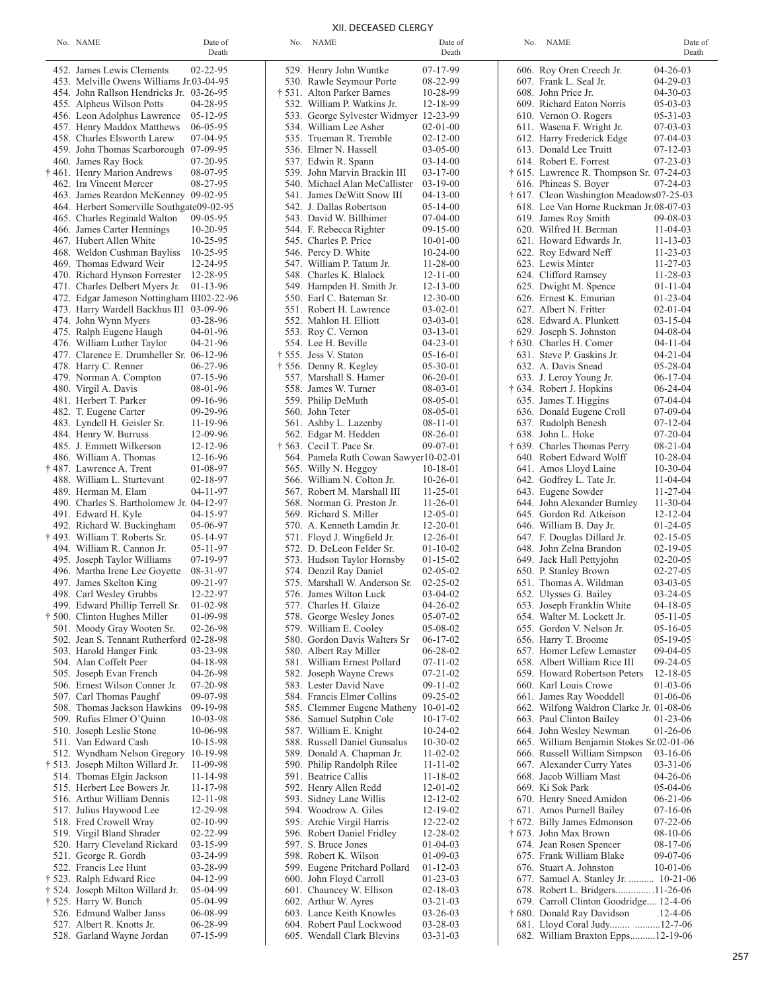| I<br>$\sim$<br>×<br>٠<br> |  |
|---------------------------|--|
|                           |  |

|                  |                                                                 | Death                |
|------------------|-----------------------------------------------------------------|----------------------|
|                  | 452. James Lewis Clements                                       | 02-22-95             |
|                  | 453. Melville Owens Williams Jr.03-04-95                        |                      |
|                  | 454. John Rallson Hendricks Jr.                                 | 03-26-95             |
|                  | 455. Alpheus Wilson Potts                                       | 04-28-95             |
|                  | 456. Leon Adolphus Lawrence                                     | $05 - 12 - 95$       |
|                  | 457. Henry Maddox Matthews                                      | 06-05-95             |
|                  | 458. Charles Elsworth Larew                                     | 07-04-95             |
|                  | 459. John Thomas Scarborough<br>460. James Ray Bock             | 07-09-95<br>07-20-95 |
|                  | † 461. Henry Marion Andrews                                     | 08-07-95             |
|                  | 462. Ira Vincent Mercer                                         | 08-27-95             |
|                  | 463. James Reardon McKenney                                     | 09-02-95             |
|                  | 464. Herbert Somerville Southgate09-02-95                       |                      |
|                  | 465. Charles Reginald Walton                                    | 09-05-95             |
|                  | 466. James Carter Hennings                                      | 10-20-95             |
|                  | 467. Hubert Allen White                                         | 10-25-95             |
|                  | 468. Weldon Cushman Bayliss                                     | 10-25-95             |
| 469.             | Thomas Edward Weir                                              | 12-24-95             |
|                  | 470. Richard Hynson Forrester<br>471. Charles Delbert Myers Jr. | 12-28-95<br>01-13-96 |
|                  | 472. Edgar Jameson Nottingham III02-22-96                       |                      |
|                  | 473. Harry Wardell Backhus III                                  | 03-09-96             |
|                  | 474. John Wynn Myers                                            | 03-28-96             |
| 475.             | Ralph Eugene Haugh                                              | 04-01-96             |
|                  | 476. William Luther Taylor                                      | 04-21-96             |
|                  | 477. Clarence E. Drumheller Sr.                                 | 06-12-96             |
|                  | 478. Harry C. Renner                                            | 06-27-96             |
| 479.             | Norman A. Compton                                               | 07-15-96             |
|                  | 480. Virgil A. Davis                                            | 08-01-96             |
|                  | 481. Herbert T. Parker<br>482. T. Eugene Carter                 | 09-16-96<br>09-29-96 |
|                  | 483. Lyndell H. Geisler Sr.                                     | 11-19-96             |
|                  | 484. Henry W. Burruss                                           | 12-09-96             |
| 485.             | J. Emmett Wilkerson                                             | 12-12-96             |
|                  | 486. William A. Thomas                                          | 12-16-96             |
|                  | † 487. Lawrence A. Trent                                        | 01-08-97             |
|                  | 488. William L. Sturtevant                                      | 02-18-97             |
|                  | 489. Herman M. Elam                                             | 04-11-97             |
|                  | 490. Charles S. Bartholomew Jr.                                 | 04-12-97             |
|                  | 491. Edward H. Kyle                                             | 04-15-97             |
| † 493.           | 492. Richard W. Buckingham<br>William T. Roberts Sr.            | 05-06-97<br>05-14-97 |
| 494.             | William R. Cannon Jr.                                           | 05-11-97             |
| 495.             | Joseph Taylor Williams                                          | 07-19-97             |
|                  | 496. Martha Irene Lee Goyette                                   | 08-31-97             |
|                  | 497. James Skelton King                                         | 09-21-97             |
|                  | 498. Carl Wesley Grubbs                                         | 12-22-97             |
| 499.             | Edward Phillip Terrell Sr.                                      | 01-02-98             |
|                  | † 500. Clinton Hughes Miller                                    | 01-09-98             |
| 501.             | Moody Gray Wooten Sr.                                           | 02-26-98             |
| 502.             | Jean S. Tennant Rutherford 02-28-98                             |                      |
| 503.<br>504.     | Harold Hanger Fink<br>Alan Coffelt Peer                         | 03-23-98<br>04-18-98 |
| 505.             | Joseph Evan French                                              | 04-26-98             |
| 506.             | Ernest Wilson Conner Jr.                                        | 07-20-98             |
| 507.             | Carl Thomas Paughf                                              | 09-07-98             |
| 508.             | Thomas Jackson Hawkins                                          | 09-19-98             |
| 509.             | Rufus Elmer O'Quinn                                             | 10-03-98             |
| 510.             | Joseph Leslie Stone                                             | 10-06-98             |
| 511.             | Van Edward Cash                                                 | 10-15-98             |
| 512.             | Wyndham Nelson Gregory                                          | 10-19-98             |
| † 513.<br>514.   | Joseph Milton Willard Jr.                                       | 11-09-98             |
| 515.             | Thomas Elgin Jackson<br>Herbert Lee Bowers Jr.                  | 11-14-98<br>11-17-98 |
| 516.             | Arthur William Dennis                                           | 12-11-98             |
| 517.             | Julius Haywood Lee                                              | 12-29-98             |
| 518.             | Fred Crowell Wray                                               | 02-10-99             |
| 519.             | Virgil Bland Shrader                                            | 02-22-99             |
| 520.             | Harry Cleveland Rickard                                         | 03-15-99             |
| 521.             | George R. Gordh                                                 | 03-24-99             |
| 522.             | Francis Lee Hunt                                                | 03-28-99             |
| † 523.           | Ralph Edward Rice                                               | 04-12-99             |
| † 524.<br>† 525. | Joseph Milton Willard Jr.<br>Harry W. Bunch                     | 05-04-99<br>05-04-99 |
| 526.             | Edmund Walber Janss                                             | 06-08-99             |
| 527.             | Albert R. Knotts Jr.                                            | 06-28-99             |
|                  | 528. Garland Wayne Jordan                                       | 07-15-99             |

| No. NAME                                                  | Date of<br>Death                 | No. | <b>NAME</b>                                               | Date of<br>Death                 | No. | <b>NAME</b>                                                               | Date of<br>Death                 |
|-----------------------------------------------------------|----------------------------------|-----|-----------------------------------------------------------|----------------------------------|-----|---------------------------------------------------------------------------|----------------------------------|
| 452. James Lewis Clements                                 | $02 - 22 - 95$                   |     | 529. Henry John Wuntke                                    | 07-17-99                         |     | 606. Roy Oren Creech Jr.                                                  | $04 - 26 - 03$                   |
| 453. Melville Owens Williams Jr.03-04-95                  |                                  |     | 530. Rawle Seymour Porte                                  | 08-22-99                         |     | 607. Frank L. Seal Jr.                                                    | $04 - 29 - 03$                   |
| 454. John Rallson Hendricks Jr. 03-26-95                  |                                  |     | † 531. Alton Parker Barnes                                | 10-28-99                         |     | 608. John Price Jr.                                                       | $04 - 30 - 03$                   |
| 455. Alpheus Wilson Potts                                 | 04-28-95                         |     | 532. William P. Watkins Jr.                               | 12-18-99                         |     | 609. Richard Eaton Norris                                                 | $05 - 03 - 03$                   |
| 456. Leon Adolphus Lawrence                               | $05-12-95$                       |     | 533. George Sylvester Widmyer 12-23-99                    |                                  |     | 610. Vernon O. Rogers                                                     | $05 - 31 - 03$                   |
| 457. Henry Maddox Matthews                                | $06 - 05 - 95$                   |     | 534. William Lee Asher                                    | $02 - 01 - 00$                   |     | 611. Wasena F. Wright Jr.                                                 | $07-03-03$                       |
| 458. Charles Elsworth Larew                               | $07-04-95$                       |     | 535. Trueman R. Tremble                                   | $02 - 12 - 00$                   |     | 612. Harry Frederick Edge                                                 | $07-04-03$                       |
| 459. John Thomas Scarborough 07-09-95                     |                                  |     | 536. Elmer N. Hassell                                     | $03 - 05 - 00$                   |     | 613. Donald Lee Truitt                                                    | $07 - 12 - 03$                   |
| 460. James Ray Bock                                       | $07-20-95$                       |     | 537. Edwin R. Spann                                       | $03 - 14 - 00$                   |     | 614. Robert E. Forrest                                                    | $07 - 23 - 03$                   |
| † 461. Henry Marion Andrews                               | 08-07-95                         |     | 539. John Marvin Brackin III                              | $03-17-00$                       |     | $\dagger$ 615. Lawrence R. Thompson Sr. 07-24-03                          |                                  |
| 462. Ira Vincent Mercer                                   | 08-27-95                         |     | 540. Michael Alan McCallister                             | $03-19-00$                       |     | 616. Phineas S. Boyer                                                     | $07 - 24 - 03$                   |
| 463. James Reardon McKenney 09-02-95                      |                                  |     | 541. James DeWitt Snow III                                | $04 - 13 - 00$                   |     | † 617. Cleon Washington Meadows07-25-03                                   |                                  |
| 464. Herbert Somerville Southgate09-02-95                 |                                  |     | 542. J. Dallas Robertson                                  | $05 - 14 - 00$                   |     | 618. Lee Van Horne Ruckman Jr.08-07-03                                    |                                  |
| 465. Charles Reginald Walton                              | $09 - 05 - 95$                   |     | 543. David W. Billhimer                                   | $07-04-00$                       |     | 619. James Roy Smith                                                      | $09 - 08 - 03$                   |
| 466. James Carter Hennings                                | $10 - 20 - 95$                   |     | 544. F. Rebecca Righter                                   | $09-15-00$                       |     | 620. Wilfred H. Berman                                                    | $11-04-03$                       |
| 467. Hubert Allen White<br>468. Weldon Cushman Bayliss    | $10 - 25 - 95$<br>$10 - 25 - 95$ |     | 545. Charles P. Price<br>546. Percy D. White              | $10-01-00$<br>$10-24-00$         |     | 621. Howard Edwards Jr.<br>622. Roy Edward Neff                           | $11 - 13 - 03$<br>$11 - 23 - 03$ |
| 469. Thomas Edward Weir                                   | 12-24-95                         |     | 547. William P. Tatum Jr.                                 | $11 - 28 - 00$                   |     | 623. Lewis Minter                                                         | $11 - 27 - 03$                   |
| 470. Richard Hynson Forrester                             | 12-28-95                         |     | 548. Charles K. Blalock                                   | $12 - 11 - 00$                   |     | 624. Clifford Ramsey                                                      | $11 - 28 - 03$                   |
| 471. Charles Delbert Myers Jr.                            | $01-13-96$                       |     | 549. Hampden H. Smith Jr.                                 | $12 - 13 - 00$                   |     | 625. Dwight M. Spence                                                     | $01 - 11 - 04$                   |
| 472. Edgar Jameson Nottingham III02-22-96                 |                                  |     | 550. Earl C. Bateman Sr.                                  | $12 - 30 - 00$                   |     | 626. Ernest K. Emurian                                                    | $01 - 23 - 04$                   |
| 473. Harry Wardell Backhus III 03-09-96                   |                                  |     | 551. Robert H. Lawrence                                   | $03-02-01$                       |     | 627. Albert N. Fritter                                                    | $02 - 01 - 04$                   |
| 474. John Wynn Myers                                      | 03-28-96                         |     | 552. Mahlon H. Elliott                                    | $03-03-01$                       |     | 628. Edward A. Plunkett                                                   | $03 - 15 - 04$                   |
| 475. Ralph Eugene Haugh                                   | $04-01-96$                       |     | 553. Roy C. Vernon                                        | $03 - 13 - 01$                   |     | 629. Joseph S. Johnston                                                   | $04 - 08 - 04$                   |
| 476. William Luther Taylor                                | $04 - 21 - 96$                   |     | 554. Lee H. Beville                                       | $04 - 23 - 01$                   |     | † 630. Charles H. Comer                                                   | $04 - 11 - 04$                   |
| 477. Clarence E. Drumheller Sr. 06-12-96                  |                                  |     | † 555. Jess V. Staton                                     | 05-16-01                         |     | 631. Steve P. Gaskins Jr.                                                 | $04 - 21 - 04$                   |
| 478. Harry C. Renner                                      | $06 - 27 - 96$                   |     | † 556. Denny R. Kegley                                    | $05 - 30 - 01$                   |     | 632. A. Davis Snead                                                       | $05 - 28 - 04$                   |
| 479. Norman A. Compton                                    | $07-15-96$                       |     | 557. Marshall S. Hamer                                    | $06 - 20 - 01$                   |     | 633. J. Leroy Young Jr.                                                   | $06-17-04$                       |
| 480. Virgil A. Davis                                      | 08-01-96                         |     | 558. James W. Turner                                      | 08-03-01                         |     | † 634. Robert J. Hopkins                                                  | $06 - 24 - 04$                   |
| 481. Herbert T. Parker                                    | 09-16-96                         |     | 559. Philip DeMuth                                        | 08-05-01                         |     | 635. James T. Higgins                                                     | $07-04-04$                       |
| 482. T. Eugene Carter                                     | 09-29-96                         |     | 560. John Teter                                           | 08-05-01                         |     | 636. Donald Eugene Croll                                                  | $07-09-04$                       |
| 483. Lyndell H. Geisler Sr.<br>484. Henry W. Burruss      | 11-19-96<br>12-09-96             |     | 561. Ashby L. Lazenby                                     | $08-11-01$<br>$08 - 26 - 01$     |     | 637. Rudolph Benesh<br>638. John L. Hoke                                  | $07 - 12 - 04$<br>$07-20-04$     |
| 485. J. Emmett Wilkerson                                  | $12 - 12 - 96$                   |     | 562. Edgar M. Hedden<br>$\ddagger$ 563. Cecil T. Pace Sr. | $09-07-01$                       |     | † 639. Charles Thomas Perry                                               | $08 - 21 - 04$                   |
| 486. William A. Thomas                                    | 12-16-96                         |     | 564. Pamela Ruth Cowan Sawyer10-02-01                     |                                  |     | 640. Robert Edward Wolff                                                  | $10 - 28 - 04$                   |
| † 487. Lawrence A. Trent                                  | 01-08-97                         |     | 565. Willy N. Heggoy                                      | $10-18-01$                       |     | 641. Amos Lloyd Laine                                                     | $10-30-04$                       |
| 488. William L. Sturtevant                                | $02 - 18 - 97$                   |     | 566. William N. Colton Jr.                                | $10-26-01$                       |     | 642. Godfrey L. Tate Jr.                                                  | $11 - 04 - 04$                   |
| 489. Herman M. Elam                                       | $04 - 11 - 97$                   |     | 567. Robert M. Marshall III                               | $11 - 25 - 01$                   |     | 643. Eugene Sowder                                                        | $11 - 27 - 04$                   |
| 490. Charles S. Bartholomew Jr. 04-12-97                  |                                  |     | 568. Norman G. Preston Jr.                                | $11 - 26 - 01$                   |     | 644. John Alexander Burnley                                               | $11 - 30 - 04$                   |
| 491. Edward H. Kyle                                       | 04-15-97                         |     | 569. Richard S. Miller                                    | $12 - 05 - 01$                   |     | 645. Gordon Rd. Atkeison                                                  | $12 - 12 - 04$                   |
| 492. Richard W. Buckingham                                | 05-06-97                         |     | 570. A. Kenneth Lamdin Jr.                                | $12 - 20 - 01$                   |     | 646. William B. Day Jr.                                                   | $01 - 24 - 05$                   |
| † 493. William T. Roberts Sr.                             | 05-14-97                         |     | 571. Floyd J. Wingfield Jr.                               | $12 - 26 - 01$                   |     | 647. F. Douglas Dillard Jr.                                               | $02 - 15 - 05$                   |
| 494. William R. Cannon Jr.                                | $05 - 11 - 97$                   |     | 572. D. DeLeon Felder Sr.                                 | $01-10-02$                       |     | 648. John Zelna Brandon                                                   | $02 - 19 - 05$                   |
| 495. Joseph Taylor Williams                               | $07-19-97$                       |     | 573. Hudson Taylor Hornsby                                | $01 - 15 - 02$                   |     | 649. Jack Hall Pettyjohn                                                  | $02 - 20 - 05$                   |
| 496. Martha Irene Lee Goyette                             | 08-31-97                         |     | 574. Denzil Ray Daniel                                    | $02 - 05 - 02$<br>$02 - 25 - 02$ |     | 650. P. Stanley Brown                                                     | $02 - 27 - 05$<br>$03 - 03 - 05$ |
| 497. James Skelton King<br>498. Carl Wesley Grubbs        | $09 - 21 - 97$<br>12-22-97       |     | 575. Marshall W. Anderson Sr.<br>576. James Wilton Luck   | 03-04-02                         |     | 651. Thomas A. Wildman<br>652. Ulysses G. Bailey                          | $03 - 24 - 05$                   |
| 499. Edward Phillip Terrell Sr.                           | $01-02-98$                       |     | 577. Charles H. Glaize                                    | 04-26-02                         |     | 653. Joseph Franklin White                                                | $04-18-05$                       |
| † 500. Clinton Hughes Miller                              | 01-09-98                         |     | 578. George Wesley Jones                                  | $05-07-02$                       |     | 654. Walter M. Lockett Jr.                                                | $05 - 11 - 05$                   |
| 501. Moody Gray Wooten Sr.                                | $02 - 26 - 98$                   |     | 579. William E. Cooley                                    | 05-08-02                         |     | 655. Gordon V. Nelson Jr.                                                 | $05-16-05$                       |
| 502. Jean S. Tennant Rutherford 02-28-98                  |                                  |     | 580. Gordon Davis Walters Sr                              | 06-17-02                         |     | 656. Harry T. Broome                                                      | $05-19-05$                       |
| 503. Harold Hanger Fink                                   | 03-23-98                         |     | 580. Albert Ray Miller                                    | 06-28-02                         |     | 657. Homer Lefew Lemaster                                                 | $09-04-05$                       |
| 504. Alan Coffelt Peer                                    | 04-18-98                         |     | 581. William Ernest Pollard                               | 07-11-02                         |     | 658. Albert William Rice III                                              | $09 - 24 - 05$                   |
| 505. Joseph Evan French                                   | 04-26-98                         |     | 582. Joseph Wayne Crews                                   | 07-21-02                         |     | 659. Howard Robertson Peters                                              | $12 - 18 - 05$                   |
| 506. Ernest Wilson Conner Jr.                             | $07-20-98$                       |     | 583. Lester David Nave                                    | 09-11-02                         |     | 660. Karl Louis Crowe                                                     | $01-03-06$                       |
| 507. Carl Thomas Paughf                                   | 09-07-98                         |     | 584. Francis Elmer Collins                                | $09 - 25 - 02$                   |     | 661. James Ray Wooddell                                                   | $01-06-06$                       |
| 508. Thomas Jackson Hawkins                               | 09-19-98                         |     | 585. Clemmer Eugene Matheny                               | $10 - 01 - 02$                   |     | 662. Wilfong Waldron Clarke Jr. 01-08-06                                  |                                  |
| 509. Rufus Elmer O'Quinn<br>510. Joseph Leslie Stone      | $10-03-98$                       |     | 586. Samuel Sutphin Cole                                  | $10-17-02$                       |     | 663. Paul Clinton Bailey                                                  | $01-23-06$                       |
| 511. Van Edward Cash                                      | 10-06-98<br>$10-15-98$           |     | 587. William E. Knight<br>588. Russell Daniel Gunsalus    | $10-24-02$<br>$10 - 30 - 02$     |     | 664. John Wesley Newman<br>665. William Benjamin Stokes Sr.02-01-06       | $01-26-06$                       |
| 512. Wyndham Nelson Gregory                               | 10-19-98                         |     | 589. Donald A. Chapman Jr.                                | $11 - 02 - 02$                   |     | 666. Russell William Simpson                                              | $03-16-06$                       |
| † 513. Joseph Milton Willard Jr.                          | 11-09-98                         |     | 590. Philip Randolph Rilee                                | $11 - 11 - 02$                   |     | 667. Alexander Curry Yates                                                | $03 - 31 - 06$                   |
| 514. Thomas Elgin Jackson                                 | 11-14-98                         |     | 591. Beatrice Callis                                      | $11 - 18 - 02$                   |     | 668. Jacob William Mast                                                   | $04 - 26 - 06$                   |
| 515. Herbert Lee Bowers Jr.                               | 11-17-98                         |     | 592. Henry Allen Redd                                     | $12 - 01 - 02$                   |     | 669. Ki Sok Park                                                          | $05-04-06$                       |
| 516. Arthur William Dennis                                | 12-11-98                         |     | 593. Sidney Lane Willis                                   | $12 - 12 - 02$                   |     | 670. Henry Sneed Amidon                                                   | $06 - 21 - 06$                   |
| 517. Julius Haywood Lee                                   | 12-29-98                         |     | 594. Woodrow A. Giles                                     | 12-19-02                         |     | 671. Amos Purnell Bailey                                                  | $07-16-06$                       |
| 518. Fred Crowell Wray                                    | $02 - 10 - 99$                   |     | 595. Archie Virgil Harris                                 | 12-22-02                         |     | † 672. Billy James Edmonson                                               | $07 - 22 - 06$                   |
| 519. Virgil Bland Shrader                                 | 02-22-99                         |     | 596. Robert Daniel Fridley                                | 12-28-02                         |     | † 673. John Max Brown                                                     | $08-10-06$                       |
| 520. Harry Cleveland Rickard                              | $03-15-99$                       |     | 597. S. Bruce Jones                                       | $01-04-03$                       |     | 674. Jean Rosen Spencer                                                   | $08-17-06$                       |
| 521. George R. Gordh                                      | 03-24-99                         |     | 598. Robert K. Wilson                                     | $01-09-03$                       |     | 675. Frank William Blake                                                  | 09-07-06                         |
| 522. Francis Lee Hunt                                     | 03-28-99                         |     | 599. Eugene Pritchard Pollard                             | $01 - 12 - 03$                   |     | 676. Stuart A. Johnston                                                   | $10-01-06$                       |
| † 523. Ralph Edward Rice                                  | 04-12-99                         |     | 600. John Floyd Carroll                                   | $01 - 23 - 03$                   |     | 677. Samuel A. Stanley Jr.  10-21-06                                      |                                  |
| † 524. Joseph Milton Willard Jr.<br>† 525. Harry W. Bunch | 05-04-99<br>05-04-99             |     | 601. Chauncey W. Ellison<br>602. Arthur W. Ayres          | $02 - 18 - 03$                   |     | 678. Robert L. Bridgers11-26-06<br>679. Carroll Clinton Goodridge 12-4-06 |                                  |
| 526. Edmund Walber Janss                                  | 06-08-99                         |     | 603. Lance Keith Knowles                                  | $03 - 21 - 03$<br>$03 - 26 - 03$ |     | † 680. Donald Ray Davidson                                                | $.12 - 4 - 06$                   |
| 527. Albert R. Knotts Jr.                                 | 06-28-99                         |     | 604. Robert Paul Lockwood                                 | 03-28-03                         |     | 681. Lloyd Coral Judy 12-7-06                                             |                                  |
| 528. Garland Wayne Jordan                                 | 07-15-99                         |     | 605. Wendall Clark Blevins                                | $03 - 31 - 03$                   |     | 682. William Braxton Epps12-19-06                                         |                                  |

|                |                                                               | Dea                        |
|----------------|---------------------------------------------------------------|----------------------------|
|                | 606. Roy Oren Creech Jr.                                      | 04-26-03                   |
|                | 607. Frank L. Seal Jr.                                        | 04-29-03                   |
|                | 608. John Price Jr.                                           | 04-30-03                   |
|                | 609. Richard Eaton Norris                                     | 05-03-03                   |
|                | 610. Vernon O. Rogers                                         | 05-31-03                   |
|                | 611. Wasena F. Wright Jr.<br>612. Harry Frederick Edge        | 07-03-03<br>07-04-03       |
|                | 613. Donald Lee Truitt                                        | $07 - 12 - 03$             |
|                | 614. Robert E. Forrest                                        | 07-23-03                   |
|                | † 615. Lawrence R. Thompson Sr. 07-24-03                      |                            |
|                | 616. Phineas S. Boyer                                         | 07-24-03                   |
|                | † 617. Cleon Washington Meadows07-25-03                       |                            |
|                | 618. Lee Van Horne Ruckman Jr.08-07-03                        |                            |
| 619.<br>620.   | James Roy Smith<br>Wilfred H. Berman                          | 09-08-03<br>$11-04-03$     |
| 621.           | Howard Edwards Jr.                                            | $11 - 13 - 03$             |
|                | 622. Roy Edward Neff                                          | 11-23-03                   |
|                | 623. Lewis Minter                                             | $11 - 27 - 03$             |
|                | 624. Clifford Ramsey                                          | 11-28-03                   |
|                | 625. Dwight M. Spence                                         | 01-11-04                   |
|                | 626. Ernest K. Emurian                                        | 01-23-04                   |
|                | 627. Albert N. Fritter<br>628. Edward A. Plunkett             | $02 - 01 - 04$             |
| 629.           | Joseph S. Johnston                                            | $03 - 15 - 04$<br>04-08-04 |
|                | † 630. Charles H. Comer                                       | $04 - 11 - 04$             |
| 631.           | Steve P. Gaskins Jr.                                          | $04 - 21 - 04$             |
|                | 632. A. Davis Snead                                           | 05-28-04                   |
|                | 633. J. Leroy Young Jr.                                       | 06-17-04                   |
|                | † 634. Robert J. Hopkins                                      | 06-24-04                   |
|                | 635. James T. Higgins                                         | 07-04-04                   |
|                | 636. Donald Eugene Croll<br>637. Rudolph Benesh               | 07-09-04<br>07-12-04       |
|                | 638. John L. Hoke                                             | 07-20-04                   |
|                | † 639. Charles Thomas Perry                                   | $08 - 21 - 04$             |
|                | 640. Robert Edward Wolff                                      | 10-28-04                   |
| 641.           | Amos Lloyd Laine                                              | 10-30-04                   |
|                | 642. Godfrey L. Tate Jr.                                      | 11-04-04                   |
| 643.<br>644.   | Eugene Sowder<br>John Alexander Burnley                       | 11-27-04<br>11-30-04       |
|                | 645. Gordon Rd. Atkeison                                      | 12-12-04                   |
|                | 646. William B. Day Jr.                                       | $01 - 24 - 05$             |
| 647.           | F. Douglas Dillard Jr.                                        | $02 - 15 - 05$             |
|                | 648. John Zelna Brandon                                       | 02-19-05                   |
| 649.           | Jack Hall Pettyjohn<br>650. P. Stanley Brown                  | $02 - 20 - 05$<br>02-27-05 |
|                | 651. Thomas A. Wildman                                        | 03-03-05                   |
|                | 652. Ulysses G. Bailey                                        | 03-24-05                   |
| 653.           | Joseph Franklin White                                         | 04-18-05                   |
|                | 654. Walter M. Lockett Jr.                                    | $05 - 11 - 05$             |
| 655.           | Gordon V. Nelson Jr.                                          | 05-16-05                   |
| 656.<br>657.   | Harry T. Broome<br>Homer Lefew Lemaster                       | 05-19-05<br>09-04-05       |
| 658.           | Albert William Rice III                                       | 09-24-05                   |
| 659.           | Howard Robertson Peters                                       | 12-18-05                   |
| 660.           | Karl Louis Crowe                                              | 01-03-06                   |
| 661.           | James Ray Wooddell                                            | 01-06-06                   |
| 662.           | Wilfong Waldron Clarke Jr.                                    | $01-08-06$                 |
| 663.<br>664.   | Paul Clinton Bailey                                           | 01-23-06<br>$01-26-06$     |
| 665.           | John Wesley Newman<br>William Benjamin Stokes Sr.02-01-06     |                            |
| 666.           | Russell William Simpson                                       | 03-16-06                   |
| 667.           | Alexander Curry Yates                                         | $03 - 31 - 06$             |
| 668.           | Jacob William Mast                                            | 04-26-06                   |
| 669.           | Ki Sok Park                                                   | 05-04-06                   |
| 670.<br>671.   | Henry Sneed Amidon<br>Amos Purnell Bailey                     | 06-21-06<br>07-16-06       |
| † 672.         | <b>Billy James Edmonson</b>                                   | 07-22-06                   |
| $\dagger$ 673. | John Max Brown                                                | 08-10-06                   |
| 674.           | Jean Rosen Spencer                                            | 08-17-06                   |
| 675.           | Frank William Blake                                           | 09-07-06                   |
| 676.           | Stuart A. Johnston                                            | $10-01-06$                 |
| 677.<br>678.   | Samuel A. Stanley Jr.  10-21-06<br>Robert L. Bridgers11-26-06 |                            |
| 679.           | Carroll Clinton Goodridge 12-4-06                             |                            |
| † 680.         | Donald Ray Davidson                                           | $.12 - 4 - 06$             |
| 681.           | Lloyd Coral Judy 12-7-06                                      |                            |
| 682.           | William Braxton Epps12-19-06                                  |                            |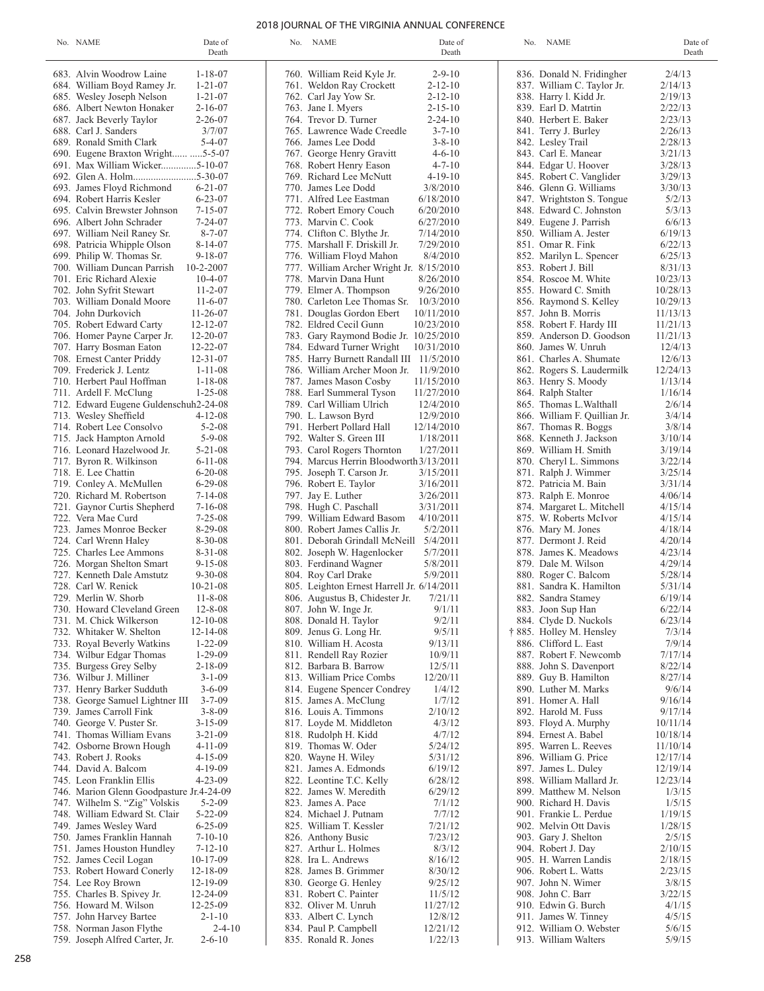# 2018 JOURNAL OF THE VIRGINIA ANNUAL CONFERENCE

| Date of<br>No. NAME<br>Death                           | No. NAME                                                          | Date of<br>Death     | No. NAME                                        | Date of<br>Death   |
|--------------------------------------------------------|-------------------------------------------------------------------|----------------------|-------------------------------------------------|--------------------|
| $1 - 18 - 07$<br>683. Alvin Woodrow Laine              | 760. William Reid Kyle Jr.                                        | $2 - 9 - 10$         | 836. Donald N. Fridingher                       | 2/4/13             |
| $1 - 21 - 07$<br>684. William Boyd Ramey Jr.           | 761. Weldon Ray Crockett                                          | $2 - 12 - 10$        | 837. William C. Taylor Jr.                      | 2/14/13            |
| $1 - 21 - 07$<br>685. Wesley Joseph Nelson             | 762. Carl Jay Yow Sr.                                             | $2 - 12 - 10$        | 838. Harry l. Kidd Jr.                          | 2/19/13            |
| 686. Albert Newton Honaker<br>$2 - 16 - 07$            | 763. Jane I. Myers                                                | $2 - 15 - 10$        | 839. Earl D. Matrtin                            | 2/22/13            |
| $2 - 26 - 07$<br>687. Jack Beverly Taylor              | 764. Trevor D. Turner                                             | $2 - 24 - 10$        | 840. Herbert E. Baker                           | 2/23/13            |
| 688. Carl J. Sanders<br>3/7/07                         | 765. Lawrence Wade Creedle                                        | $3 - 7 - 10$         | 841. Terry J. Burley                            | 2/26/13            |
| 689. Ronald Smith Clark<br>$5 - 4 - 07$                | 766. James Lee Dodd                                               | $3 - 8 - 10$         | 842. Lesley Trail                               | 2/28/13            |
| 690. Eugene Braxton Wright  5-5-07                     | 767. George Henry Gravitt                                         | $4 - 6 - 10$         | 843. Carl E. Manear                             | 3/21/13            |
| 691. Max William Wicker5-10-07                         | 768. Robert Henry Eason                                           | $4 - 7 - 10$         | 844. Edgar U. Hoover                            | 3/28/13            |
|                                                        | 769. Richard Lee McNutt                                           | $4 - 19 - 10$        | 845. Robert C. Vanglider                        | 3/29/13            |
| $6 - 21 - 07$<br>693. James Floyd Richmond             | 770. James Lee Dodd                                               | 3/8/2010             | 846. Glenn G. Williams                          | 3/30/13            |
| $6 - 23 - 07$<br>694. Robert Harris Kesler             | 771. Alfred Lee Eastman                                           | 6/18/2010            | 847. Wrightston S. Tongue                       | 5/2/13             |
| 695. Calvin Brewster Johnson<br>$7 - 15 - 07$          | 772. Robert Emory Couch                                           | 6/20/2010            | 848. Edward C. Johnston                         | 5/3/13             |
| 696. Albert John Schrader<br>$7 - 24 - 07$             | 773. Marvin C. Cook                                               | 6/27/2010            | 849. Eugene J. Parrish                          | 6/6/13             |
| $8 - 7 - 07$<br>697. William Neil Raney Sr.            | 774. Clifton C. Blythe Jr.                                        | 7/14/2010            | 850. William A. Jester                          | 6/19/13            |
| $8 - 14 - 07$<br>698. Patricia Whipple Olson           | 775. Marshall F. Driskill Jr.                                     | 7/29/2010            | 851. Omar R. Fink                               | 6/22/13            |
| $9 - 18 - 07$<br>699. Philip W. Thomas Sr.             | 776. William Floyd Mahon                                          | 8/4/2010             | 852. Marilyn L. Spencer                         | 6/25/13            |
| $10 - 2 - 2007$<br>700. William Duncan Parrish         | 777. William Archer Wright Jr. 8/15/2010                          |                      | 853. Robert J. Bill                             | 8/31/13            |
| 701. Eric Richard Alexie<br>$10-4-07$                  | 778. Marvin Dana Hunt                                             | 8/26/2010            | 854. Roscoe M. White                            | 10/23/13           |
| $11 - 2 - 07$<br>702. John Syfrit Stewart              | 779. Elmer A. Thompson                                            | 9/26/2010            | 855. Howard C. Smith                            | 10/28/13           |
| $11-6-07$<br>703. William Donald Moore                 | 780. Carleton Lee Thomas Sr. 10/3/2010                            |                      | 856. Raymond S. Kelley                          | 10/29/13           |
| 704. John Durkovich<br>$11 - 26 - 07$                  | 781. Douglas Gordon Ebert                                         | 10/11/2010           | 857. John B. Morris                             | 11/13/13           |
| $12 - 12 - 07$<br>705. Robert Edward Carty             | 782. Eldred Cecil Gunn                                            | 10/23/2010           | 858. Robert F. Hardy III                        | 11/21/13           |
| 706. Homer Payne Carper Jr.<br>$12 - 20 - 07$          | 783. Gary Raymond Bodie Jr. 10/25/2010                            |                      | 859. Anderson D. Goodson                        | 11/21/13           |
| $12 - 22 - 07$<br>707. Harry Bosman Eaton              | 784. Edward Turner Wright                                         | 10/31/2010           | 860. James W. Unruh                             | 12/4/13            |
| 708. Ernest Canter Priddy<br>$12 - 31 - 07$            | 785. Harry Burnett Randall III 11/5/2010                          |                      | 861. Charles A. Shumate                         | 12/6/13            |
| 709. Frederick J. Lentz<br>$1 - 11 - 08$               | 786. William Archer Moon Jr. 11/9/2010                            |                      | 862. Rogers S. Laudermilk                       | 12/24/13           |
| 710. Herbert Paul Hoffman<br>$1 - 18 - 08$             | 787. James Mason Cosby                                            | 11/15/2010           | 863. Henry S. Moody                             | 1/13/14            |
| $1 - 25 - 08$<br>711. Ardell F. McClung                | 788. Earl Summeral Tyson                                          | 11/27/2010           | 864. Ralph Stalter                              | 1/16/14            |
| 712. Edward Eugene Guldenschuh2-24-08                  | 789. Carl William Ulrich                                          | 12/4/2010            | 865. Thomas L. Walthall                         | 2/6/14             |
| 713. Wesley Sheffield<br>$4 - 12 - 08$                 | 790. L. Lawson Byrd                                               | 12/9/2010            | 866. William F. Quillian Jr.                    | 3/4/14             |
| 714. Robert Lee Consolvo<br>$5 - 2 - 08$               | 791. Herbert Pollard Hall                                         | 12/14/2010           | 867. Thomas R. Boggs                            | 3/8/14             |
| $5 - 9 - 08$<br>715. Jack Hampton Arnold               | 792. Walter S. Green III                                          | 1/18/2011            | 868. Kenneth J. Jackson                         | 3/10/14            |
| $5 - 21 - 08$<br>716. Leonard Hazelwood Jr.            | 793. Carol Rogers Thornton                                        | 1/27/2011            | 869. William H. Smith                           | 3/19/14            |
| $6 - 11 - 08$<br>717. Byron R. Wilkinson               | 794. Marcus Herrin Bloodworth 3/13/2011                           |                      | 870. Cheryl L. Simmons                          | 3/22/14            |
| $6 - 20 - 08$<br>718. E. Lee Chattin                   | 795. Joseph T. Carson Jr.                                         | 3/15/2011            | 871. Ralph J. Wimmer                            | 3/25/14            |
| $6 - 29 - 08$<br>719. Conley A. McMullen               | 796. Robert E. Taylor                                             | 3/16/2011            | 872. Patricia M. Bain                           | 3/31/14            |
| $7 - 14 - 08$<br>720. Richard M. Robertson             | 797. Jay E. Luther                                                | 3/26/2011            | 873. Ralph E. Monroe                            | 4/06/14            |
| $7 - 16 - 08$<br>721. Gaynor Curtis Shepherd           | 798. Hugh C. Paschall                                             | 3/31/2011            | 874. Margaret L. Mitchell                       | 4/15/14            |
| 722. Vera Mae Curd<br>$7 - 25 - 08$                    | 799. William Edward Basom                                         | 4/10/2011            | 875. W. Roberts McIvor                          | 4/15/14            |
| $8-29-08$<br>723. James Monroe Becker<br>$8-30-08$     | 800. Robert James Callis Jr.                                      | 5/2/2011             | 876. Mary M. Jones                              | 4/18/14            |
| 724. Carl Wrenn Haley<br>$8 - 31 - 08$                 | 801. Deborah Grindall McNeill 5/4/2011                            |                      | 877. Dermont J. Reid                            | 4/20/14            |
| 725. Charles Lee Ammons<br>$9 - 15 - 08$               | 802. Joseph W. Hagenlocker                                        | 5/7/2011             | 878. James K. Meadows                           | 4/23/14            |
| 726. Morgan Shelton Smart<br>727. Kenneth Dale Amstutz | 803. Ferdinand Wagner                                             | 5/8/2011<br>5/9/2011 | 879. Dale M. Wilson                             | 4/29/14            |
| $9 - 30 - 08$<br>728. Carl W. Renick<br>$10 - 21 - 08$ | 804. Roy Carl Drake<br>805. Leighton Ernest Harrell Jr. 6/14/2011 |                      | 880. Roger C. Balcom<br>881. Sandra K. Hamilton | 5/28/14<br>5/31/14 |
| $11 - 8 - 08$<br>729. Merlin W. Shorb                  | 806. Augustus B, Chidester Jr.                                    | 7/21/11              | 882. Sandra Stamey                              | 6/19/14            |
| $12 - 8 - 08$<br>730. Howard Cleveland Green           | 807. John W. Inge Jr.                                             | 9/1/11               | 883. Joon Sup Han                               | 6/22/14            |
| 731. M. Chick Wilkerson<br>$12 - 10 - 08$              | 808. Donald H. Taylor                                             | 9/2/11               | 884. Clyde D. Nuckols                           | 6/23/14            |
| 732. Whitaker W. Shelton<br>$12 - 14 - 08$             | 809. Jenus G. Long Hr.                                            | 9/5/11               | † 885. Holley M. Hensley                        | 7/3/14             |
| $1 - 22 - 09$<br>733. Royal Beverly Watkins            | 810. William H. Acosta                                            | 9/13/11              | 886. Clifford L. East                           | 7/9/14             |
| $1 - 29 - 09$<br>734. Wilbur Edgar Thomas              | 811. Rendell Ray Rozier                                           | 10/9/11              | 887. Robert F. Newcomb                          | 7/17/14            |
| $2 - 18 - 09$<br>735. Burgess Grey Selby               | 812. Barbara B. Barrow                                            | 12/5/11              | 888. John S. Davenport                          | 8/22/14            |
| 736. Wilbur J. Milliner<br>$3 - 1 - 09$                | 813. William Price Combs                                          | 12/20/11             | 889. Guy B. Hamilton                            | 8/27/14            |
| 737. Henry Barker Sudduth<br>$3 - 6 - 09$              | 814. Eugene Spencer Condrey                                       | 1/4/12               | 890. Luther M. Marks                            | 9/6/14             |
| $3 - 7 - 09$<br>738. George Samuel Lightner III        | 815. James A. McClung                                             | 1/7/12               | 891. Homer A. Hall                              | 9/16/14            |
| 739. James Carroll Fink<br>$3 - 8 - 09$                | 816. Louis A. Timmons                                             | 2/10/12              | 892. Harold M. Fuss                             | 9/17/14            |
| 740. George V. Puster Sr.<br>$3 - 15 - 09$             | 817. Loyde M. Middleton                                           | 4/3/12               | 893. Floyd A. Murphy                            | 10/11/14           |
| 741. Thomas William Evans<br>$3 - 21 - 09$             | 818. Rudolph H. Kidd                                              | 4/7/12               | 894. Ernest A. Babel                            | 10/18/14           |
| 742. Osborne Brown Hough<br>4-11-09                    | 819. Thomas W. Oder                                               | 5/24/12              | 895. Warren L. Reeves                           | 11/10/14           |
| 743. Robert J. Rooks<br>4-15-09                        | 820. Wayne H. Wiley                                               | 5/31/12              | 896. William G. Price                           | 12/17/14           |
| 744. David A. Balcom<br>4-19-09                        | 821. James A. Edmonds                                             | 6/19/12              | 897. James L. Duley                             | 12/19/14           |
| 745. Leon Franklin Ellis<br>4-23-09                    | 822. Leontine T.C. Kelly                                          | 6/28/12              | 898. William Mallard Jr.                        | 12/23/14           |
| 746. Marion Glenn Goodpasture Jr.4-24-09               | 822. James W. Meredith                                            | 6/29/12              | 899. Matthew M. Nelson                          | 1/3/15             |
| 747. Wilhelm S. "Zig" Volskis<br>$5 - 2 - 09$          | 823. James A. Pace                                                | 7/1/12               | 900. Richard H. Davis                           | 1/5/15             |
| 748. William Edward St. Clair<br>$5 - 22 - 09$         | 824. Michael J. Putnam                                            | 7/7/12               | 901. Frankie L. Perdue                          | 1/19/15            |
| $6 - 25 - 09$<br>749. James Wesley Ward                | 825. William T. Kessler                                           | 7/21/12              | 902. Melvin Ott Davis                           | 1/28/15            |
| $7 - 10 - 10$<br>750. James Franklin Hannah            | 826. Anthony Busic                                                | 7/23/12              | 903. Gary J. Shelton                            | 2/5/15             |
| $7 - 12 - 10$<br>751. James Houston Hundley            | 827. Arthur L. Holmes                                             | 8/3/12               | 904. Robert J. Day                              | 2/10/15            |
| $10-17-09$<br>752. James Cecil Logan                   | 828. Ira L. Andrews                                               | 8/16/12              | 905. H. Warren Landis                           | 2/18/15            |
| 753. Robert Howard Conerly<br>12-18-09                 | 828. James B. Grimmer                                             | 8/30/12              | 906. Robert L. Watts                            | 2/23/15            |
| 12-19-09<br>754. Lee Roy Brown                         | 830. George G. Henley                                             | 9/25/12              | 907. John N. Wimer                              | 3/8/15             |
| 12-24-09<br>755. Charles B. Spivey Jr.                 | 831. Robert C. Painter                                            | 11/5/12              | 908. John C. Barr                               | 3/22/15            |
| 756. Howard M. Wilson<br>12-25-09                      | 832. Oliver M. Unruh                                              | 11/27/12             | 910. Edwin G. Burch                             | 4/1/15             |
| 757. John Harvey Bartee<br>$2 - 1 - 10$                | 833. Albert C. Lynch                                              | 12/8/12              | 911. James W. Tinney                            | 4/5/15             |
| $2 - 4 - 10$<br>758. Norman Jason Flythe               | 834. Paul P. Campbell                                             | 12/21/12             | 912. William O. Webster                         | 5/6/15             |

835. Ronald R. Jones 1/22/13

913. William Walters 5/9/15

759. Joseph Alfred Carter, Jr. 2-6-10